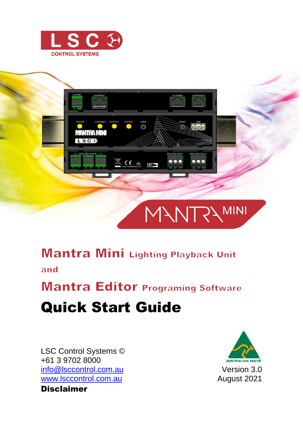



## **Mantra Mini Lighting Playback Unit**

and

**Mantra Editor Programing Software** 

# Quick Start Guide

LSC Control Systems © +61 3 9702 8000 [info@lsccontrol.com.](mailto:info@lsccontrol.com)au [www.lsccontrol.com.](http://www.lsccontrol.com/)au Disclaimer

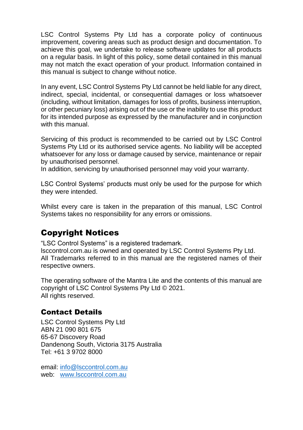LSC Control Systems Pty Ltd has a corporate policy of continuous improvement, covering areas such as product design and documentation. To achieve this goal, we undertake to release software updates for all products on a regular basis. In light of this policy, some detail contained in this manual may not match the exact operation of your product. Information contained in this manual is subject to change without notice.

In any event, LSC Control Systems Pty Ltd cannot be held liable for any direct, indirect, special, incidental, or consequential damages or loss whatsoever (including, without limitation, damages for loss of profits, business interruption, or other pecuniary loss) arising out of the use or the inability to use this product for its intended purpose as expressed by the manufacturer and in conjunction with this manual.

Servicing of this product is recommended to be carried out by LSC Control Systems Pty Ltd or its authorised service agents. No liability will be accepted whatsoever for any loss or damage caused by service, maintenance or repair by unauthorised personnel.

In addition, servicing by unauthorised personnel may void your warranty.

LSC Control Systems' products must only be used for the purpose for which they were intended.

Whilst every care is taken in the preparation of this manual, LSC Control Systems takes no responsibility for any errors or omissions.

#### Copyright Notices

"LSC Control Systems" is a registered trademark.

lsccontrol.com.au is owned and operated by LSC Control Systems Pty Ltd. All Trademarks referred to in this manual are the registered names of their respective owners.

The operating software of the Mantra Lite and the contents of this manual are copyright of LSC Control Systems Pty Ltd © 2021. All rights reserved.

#### Contact Details

LSC Control Systems Pty Ltd ABN 21 090 801 675 65-67 Discovery Road Dandenong South, Victoria 3175 Australia Tel: +61 3 9702 8000

email: [info@lsccontrol.com.au](mailto:info@lsccontrol.com.au) web: [www.lsccontrol.com.au](http://www.lsccontrol.com.au/)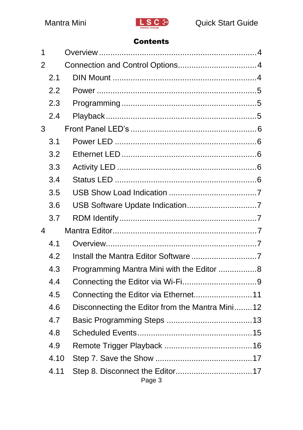

#### Contents

| 1 |      |                                                 |  |
|---|------|-------------------------------------------------|--|
| 2 |      |                                                 |  |
|   | 2.1  |                                                 |  |
|   | 2.2  |                                                 |  |
|   | 2.3  |                                                 |  |
|   | 2.4  |                                                 |  |
| 3 |      |                                                 |  |
|   | 3.1  |                                                 |  |
|   | 3.2  |                                                 |  |
|   | 3.3  |                                                 |  |
|   | 3.4  |                                                 |  |
|   | 3.5  |                                                 |  |
|   | 3.6  |                                                 |  |
|   | 3.7  |                                                 |  |
| 4 |      |                                                 |  |
|   | 4.1  |                                                 |  |
|   | 4.2  |                                                 |  |
|   | 4.3  | Programming Mantra Mini with the Editor 8       |  |
|   | 4.4  |                                                 |  |
|   | 4.5  |                                                 |  |
|   | 4.6  | Disconnecting the Editor from the Mantra Mini12 |  |
|   | 4.7  |                                                 |  |
|   | 4.8  |                                                 |  |
|   | 4.9  |                                                 |  |
|   | 4.10 |                                                 |  |
|   | 4.11 | Page 3                                          |  |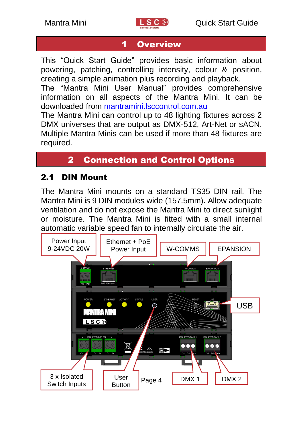

### <span id="page-3-0"></span>1 Overview

This "Quick Start Guide" provides basic information about powering, patching, controlling intensity, colour & position, creating a simple animation plus recording and playback.

The "Mantra Mini User Manual" provides comprehensive information on all aspects of the Mantra Mini. It can be downloaded from [mantramini.lsccontrol.com.au](Import%20Fixture%20Library.docx)

The Mantra Mini can control up to 48 lighting fixtures across 2 DMX universes that are output as DMX-512, Art-Net or sACN. Multiple Mantra Minis can be used if more than 48 fixtures are required.

### 2 Connection and Control Options

#### <span id="page-3-2"></span><span id="page-3-1"></span>2.1 DIN Mount

The Mantra Mini mounts on a standard TS35 DIN rail. The Mantra Mini is 9 DIN modules wide (157.5mm). Allow adequate ventilation and do not expose the Mantra Mini to direct sunlight or moisture. The Mantra Mini is fitted with a small internal automatic variable speed fan to internally circulate the air.

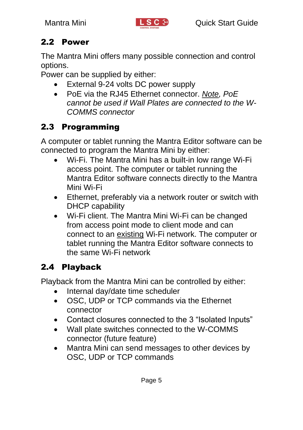

### <span id="page-4-0"></span>2.2 Power

The Mantra Mini offers many possible connection and control options.

Power can be supplied by either:

- External 9-24 volts DC power supply
- PoE via the RJ45 Ethernet connector. *Note, PoE cannot be used if Wall Plates are connected to the W-COMMS connector*

### <span id="page-4-1"></span>2.3 Programming

A computer or tablet running the Mantra Editor software can be connected to program the Mantra Mini by either:

- Wi-Fi. The Mantra Mini has a built-in low range Wi-Fi access point. The computer or tablet running the Mantra Editor software connects directly to the Mantra Mini Wi-Fi
- Ethernet, preferably via a network router or switch with DHCP capability
- Wi-Fi client. The Mantra Mini Wi-Fi can be changed from access point mode to client mode and can connect to an existing Wi-Fi network. The computer or tablet running the Mantra Editor software connects to the same Wi-Fi network

### <span id="page-4-2"></span>2.4 Playback

Playback from the Mantra Mini can be controlled by either:

- Internal dav/date time scheduler
- OSC, UDP or TCP commands via the Ethernet connector
- Contact closures connected to the 3 "Isolated Inputs"
- Wall plate switches connected to the W-COMMS connector (future feature)
- Mantra Mini can send messages to other devices by OSC, UDP or TCP commands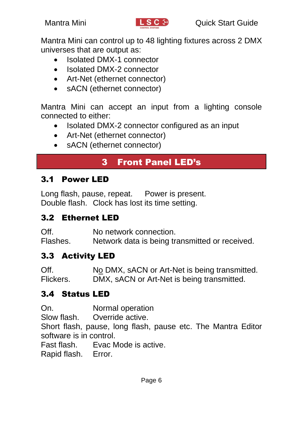

Mantra Mini can control up to 48 lighting fixtures across 2 DMX universes that are output as:

- Isolated DMX-1 connector
- Isolated DMX-2 connector
- Art-Net (ethernet connector)
- sACN (ethernet connector)

Mantra Mini can accept an input from a lighting console connected to either:

- Isolated DMX-2 connector configured as an input
- Art-Net (ethernet connector)
- <span id="page-5-0"></span>• sACN (ethernet connector)

### 3 Front Panel LED's

#### <span id="page-5-1"></span>3.1 Power LED

Long flash, pause, repeat. Power is present. Double flash. Clock has lost its time setting.

#### <span id="page-5-2"></span>3.2 Ethernet LED

| Off.     | No network connection.                         |
|----------|------------------------------------------------|
| Flashes. | Network data is being transmitted or received. |

#### <span id="page-5-3"></span>3.3 Activity LED

Off. No DMX, sACN or Art-Net is being transmitted. Flickers. DMX, sACN or Art-Net is being transmitted.

#### <span id="page-5-4"></span>3.4 Status LED

On. Normal operation

Slow flash. Override active.

Short flash, pause, long flash, pause etc. The Mantra Editor software is in control.

Fast flash. Evac Mode is active.

Rapid flash. Error.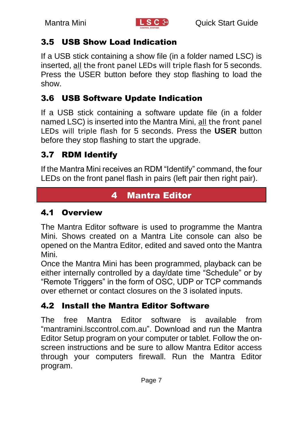

#### <span id="page-6-0"></span>3.5 USB Show Load Indication

If a USB stick containing a show file (in a folder named LSC) is inserted, all the front panel LEDs will triple flash for 5 seconds. Press the USER button before they stop flashing to load the show.

### <span id="page-6-1"></span>3.6 USB Software Update Indication

If a USB stick containing a software update file (in a folder named LSC) is inserted into the Mantra Mini, all the front panel LEDs will triple flash for 5 seconds. Press the **USER** button before they stop flashing to start the upgrade.

### <span id="page-6-2"></span>3.7 RDM Identify

<span id="page-6-3"></span>If the Mantra Mini receives an RDM "Identify" command, the four LEDs on the front panel flash in pairs (left pair then right pair).

### 4 Mantra Editor

### <span id="page-6-4"></span>4.1 Overview

The Mantra Editor software is used to programme the Mantra Mini. Shows created on a Mantra Lite console can also be opened on the Mantra Editor, edited and saved onto the Mantra Mini.

Once the Mantra Mini has been programmed, playback can be either internally controlled by a day/date time "Schedule" or by "Remote Triggers" in the form of OSC, UDP or TCP commands over ethernet or contact closures on the 3 isolated inputs.

### <span id="page-6-5"></span>4.2 Install the Mantra Editor Software

The free Mantra Editor software is available from "mantramini.lsccontrol.com.au". Download and run the Mantra Editor Setup program on your computer or tablet. Follow the onscreen instructions and be sure to allow Mantra Editor access through your computers firewall. Run the Mantra Editor program.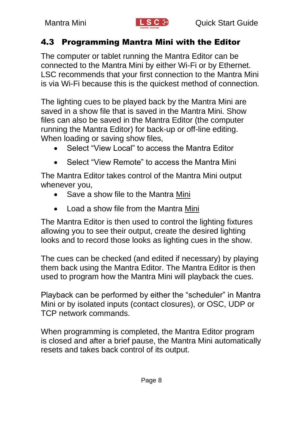

#### <span id="page-7-0"></span>4.3 Programming Mantra Mini with the Editor

The computer or tablet running the Mantra Editor can be connected to the Mantra Mini by either Wi-Fi or by Ethernet. LSC recommends that your first connection to the Mantra Mini is via Wi-Fi because this is the quickest method of connection.

The lighting cues to be played back by the Mantra Mini are saved in a show file that is saved in the Mantra Mini. Show files can also be saved in the Mantra Editor (the computer running the Mantra Editor) for back-up or off-line editing. When loading or saving show files,

- Select "View Local" to access the Mantra Editor
- Select "View Remote" to access the Mantra Mini

The Mantra Editor takes control of the Mantra Mini output whenever you,

- Save a show file to the Mantra Mini
- Load a show file from the Mantra Mini

The Mantra Editor is then used to control the lighting fixtures allowing you to see their output, create the desired lighting looks and to record those looks as lighting cues in the show.

The cues can be checked (and edited if necessary) by playing them back using the Mantra Editor. The Mantra Editor is then used to program how the Mantra Mini will playback the cues.

Playback can be performed by either the "scheduler" in Mantra Mini or by isolated inputs (contact closures), or OSC, UDP or TCP network commands.

When programming is completed, the Mantra Editor program is closed and after a brief pause, the Mantra Mini automatically resets and takes back control of its output.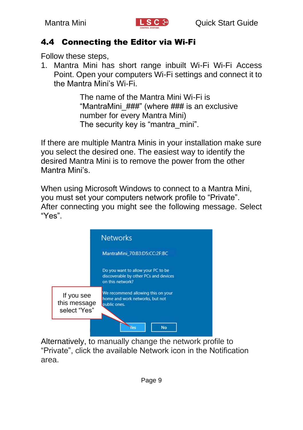

#### <span id="page-8-0"></span>4.4 Connecting the Editor via Wi-Fi

Follow these steps,

1. Mantra Mini has short range inbuilt Wi-Fi Wi-Fi Access Point. Open your computers Wi-Fi settings and connect it to the Mantra Mini's Wi-Fi.

> The name of the Mantra Mini Wi-Fi is "MantraMini ###" (where ### is an exclusive number for every Mantra Mini) The security key is "mantra\_mini".

If there are multiple Mantra Minis in your installation make sure you select the desired one. The easiest way to identify the desired Mantra Mini is to remove the power from the other Mantra Mini's.

When using Microsoft Windows to connect to a Mantra Mini, you must set your computers network profile to "Private". After connecting you might see the following message. Select "Yes".



Alternatively, to manually change the network profile to "Private", click the available Network icon in the Notification area.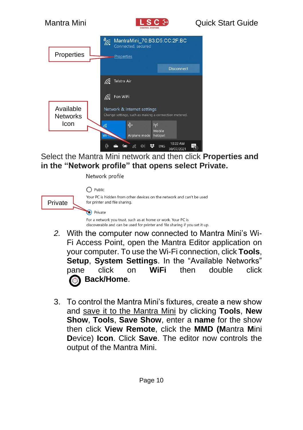

Select the Mantra Mini network and then click **Properties and in the "Network profile" that opens select Private.**

Network profile

|         | $\bigcap$ Public                                                                                                                            |
|---------|---------------------------------------------------------------------------------------------------------------------------------------------|
| Private | Your PC is hidden from other devices on the network and can't be used<br>for printer and file sharing.                                      |
|         | Private                                                                                                                                     |
|         | For a network you trust, such as at home or work. Your PC is<br>discoverable and can be used for printer and file sharing if you set it up. |

- *2.* With the computer now connected to Mantra Mini's Wi-Fi Access Point, open the Mantra Editor application on your computer. To use the Wi-Fi connection, click **Tools**, **Setup**, **System Settings**. In the "Available Networks" pane click on **WiFi** then double click  **Back/Home**.
- 3. To control the Mantra Mini's fixtures, create a new show and save it to the Mantra Mini by clicking **Tools**, **New Show**, **Tools**, **Save Show**, enter a **name** for the show then click **View Remote**, click the **MMD (M**antra **M**ini **D**evice) **Icon**. Click **Save**. The editor now controls the output of the Mantra Mini.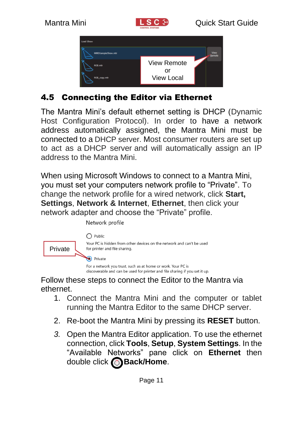



### <span id="page-10-0"></span>4.5 Connecting the Editor via Ethernet

The Mantra Mini's default ethernet setting is DHCP (Dynamic Host Configuration Protocol). In order to have a network address automatically assigned, the Mantra Mini must be connected to a DHCP server. Most consumer routers are set up to act as a DHCP server and will automatically assign an IP address to the Mantra Mini.

When using Microsoft Windows to connect to a Mantra Mini, you must set your computers network profile to "Private". To change the network profile for a wired network, click **Start, Settings**, **Network & Internet**, **Ethernet**, then click your network adapter and choose the "Private" profile.

Network profile  $\bigcap$  Public Your PC is hidden from other devices on the network and can't be used Privatefor printer and file sharing. Private For a network you trust, such as at home or work. Your PC is discoverable and can be used for printer and file sharing if you set it up.

Follow these steps to connect the Editor to the Mantra via ethernet.

- 1. Connect the Mantra Mini and the computer or tablet running the Mantra Editor to the same DHCP server.
- 2. Re-boot the Mantra Mini by pressing its **RESET** button.
- *3.* Open the Mantra Editor application. To use the ethernet connection, click **Tools**, **Setup**, **System Settings**. In the "Available Networks" pane click on **Ethernet** then double click **Back/Home**.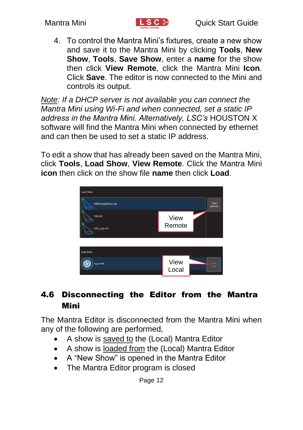

4. To control the Mantra Mini's fixtures, create a new show and save it to the Mantra Mini by clicking **Tools**, **New Show**, **Tools**, **Save Show**, enter a **name** for the show then click **View Remote**, click the Mantra Mini **Icon**. Click **Save**. The editor is now connected to the Mini and controls its output.

*Note: If a DHCP server is not available you can connect the Mantra Mini using Wi-Fi and when connected, set a static IP address in the Mantra Mini. Alternatively, LSC's* HOUSTON X software will find the Mantra Mini when connected by ethernet and can then be used to set a static IP address.

To edit a show that has already been saved on the Mantra Mini, click **Tools**, **Load Show**, **View Remote**. Click the Mantra Mini **icon** then click on the show file **name** then click **Load**.



### <span id="page-11-0"></span>4.6 Disconnecting the Editor from the Mantra Mini

The Mantra Editor is disconnected from the Mantra Mini when any of the following are performed,

- A show is saved to the (Local) Mantra Editor
- A show is loaded from the (Local) Mantra Editor
- A "New Show" is opened in the Mantra Editor
- The Mantra Editor program is closed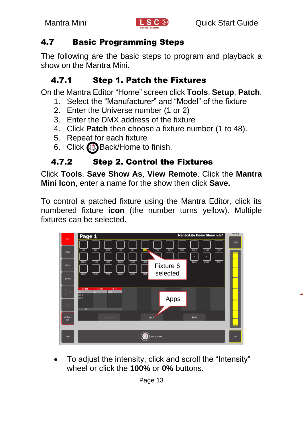

#### <span id="page-12-0"></span>4.7 Basic Programming Steps

The following are the basic steps to program and playback a show on the Mantra Mini.

#### 4.7.1 Step 1. Patch the Fixtures

On the Mantra Editor "Home" screen click **Tools**, **Setup**, **Patch**.

- 1. Select the "Manufacturer" and "Model" of the fixture
- 2. Enter the Universe number (1 or 2)
- 3. Enter the DMX address of the fixture
- 4. Click **Patch** then **c**hoose a fixture number (1 to 48).
- 5. Repeat for each fixture
- 6. Click  $\mathbb{S}$  Back/Home to finish.

### 4.7.2 Step 2. Control the Fixtures

Click **Tools**, **Save Show As**, **View Remote**. Click the **Mantra Mini Icon**, enter a name for the show then click **Save.**

To control a patched fixture using the Mantra Editor, click its numbered fixture **icon** (the number turns yellow). Multiple fixtures can be selected.



• To adjust the intensity, click and scroll the "Intensity" wheel or click the **100%** or **0%** buttons.

Page 13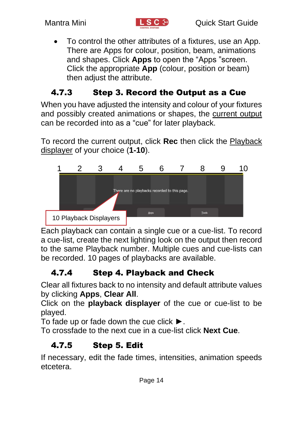

• To control the other attributes of a fixtures, use an App. There are Apps for colour, position, beam, animations and shapes. Click **Apps** to open the "Apps "screen. Click the appropriate **App** (colour, position or beam) then adjust the attribute.

### 4.7.3 Step 3. Record the Output as a Cue

When you have adjusted the intensity and colour of your fixtures and possibly created animations or shapes, the current output can be recorded into as a "cue" for later playback.

To record the current output, click **Rec** then click the Playback displayer of your choice (**1-10**).



Each playback can contain a single cue or a cue-list. To record a cue-list, create the next lighting look on the output then record to the same Playback number. Multiple cues and cue-lists can be recorded. 10 pages of playbacks are available.

### 4.7.4 Step 4. Playback and Check

Clear all fixtures back to no intensity and default attribute values by clicking **Apps**, **Clear All**.

Click on the **playback displayer** of the cue or cue-list to be played.

To fade up or fade down the cue click ►.

To crossfade to the next cue in a cue-list click **Next Cue**.

### 4.7.5 Step 5. Edit

If necessary, edit the fade times, intensities, animation speeds etcetera.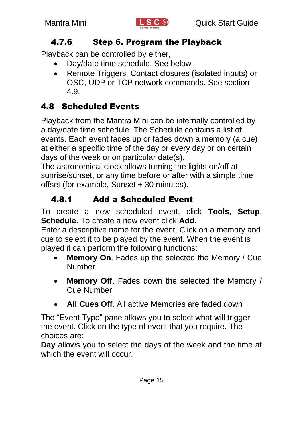

#### 4.7.6 Step 6. Program the Playback

Playback can be controlled by either,

- Day/date time schedule. See below
- Remote Triggers. Contact closures (isolated inputs) or OSC, UDP or TCP network commands. See section [4.9.](#page-15-0)

### <span id="page-14-0"></span>4.8 Scheduled Events

Playback from the Mantra Mini can be internally controlled by a day/date time schedule. The Schedule contains a list of events. Each event fades up or fades down a memory (a cue) at either a specific time of the day or every day or on certain days of the week or on particular date(s).

The astronomical clock allows turning the lights on/off at sunrise/sunset, or any time before or after with a simple time offset (for example, Sunset + 30 minutes).

### 4.8.1 Add a Scheduled Event

To create a new scheduled event, click **Tools**, **Setup**, **Schedule**. To create a new event click **Add**.

Enter a descriptive name for the event. Click on a memory and cue to select it to be played by the event. When the event is played it can perform the following functions:

- **Memory On**. Fades up the selected the Memory / Cue **Number**
- **Memory Off**. Fades down the selected the Memory / Cue Number
- **All Cues Off**. All active Memories are faded down

The "Event Type" pane allows you to select what will trigger the event. Click on the type of event that you require. The choices are:

**Day** allows you to select the days of the week and the time at which the event will occur.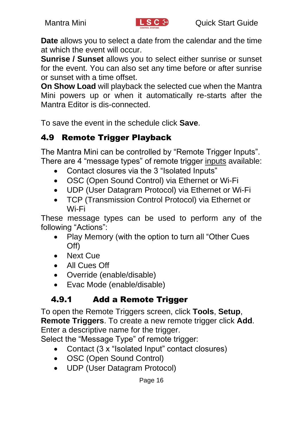

**Date** allows you to select a date from the calendar and the time at which the event will occur.

**Sunrise / Sunset** allows you to select either sunrise or sunset for the event. You can also set any time before or after sunrise or sunset with a time offset.

**On Show Load** will playback the selected cue when the Mantra Mini powers up or when it automatically re-starts after the Mantra Editor is dis-connected.

To save the event in the schedule click **Save**.

### <span id="page-15-0"></span>4.9 Remote Trigger Playback

The Mantra Mini can be controlled by "Remote Trigger Inputs". There are 4 "message types" of remote trigger inputs available:

- Contact closures via the 3 "Isolated Inputs"
- OSC (Open Sound Control) via Ethernet or Wi-Fi
- UDP (User Datagram Protocol) via Ethernet or Wi-Fi
- TCP (Transmission Control Protocol) via Ethernet or Wi-Fi

These message types can be used to perform any of the following "Actions":

- Play Memory (with the option to turn all "Other Cues Off)
- Next Cue
- All Cues Off
- Override (enable/disable)
- Evac Mode (enable/disable)

### 4.9.1 Add a Remote Trigger

To open the Remote Triggers screen, click **Tools**, **Setup**, **Remote Triggers**. To create a new remote trigger click **Add**. Enter a descriptive name for the trigger.

Select the "Message Type" of remote trigger:

- Contact (3 x "Isolated Input" contact closures)
- OSC (Open Sound Control)
- UDP (User Datagram Protocol)